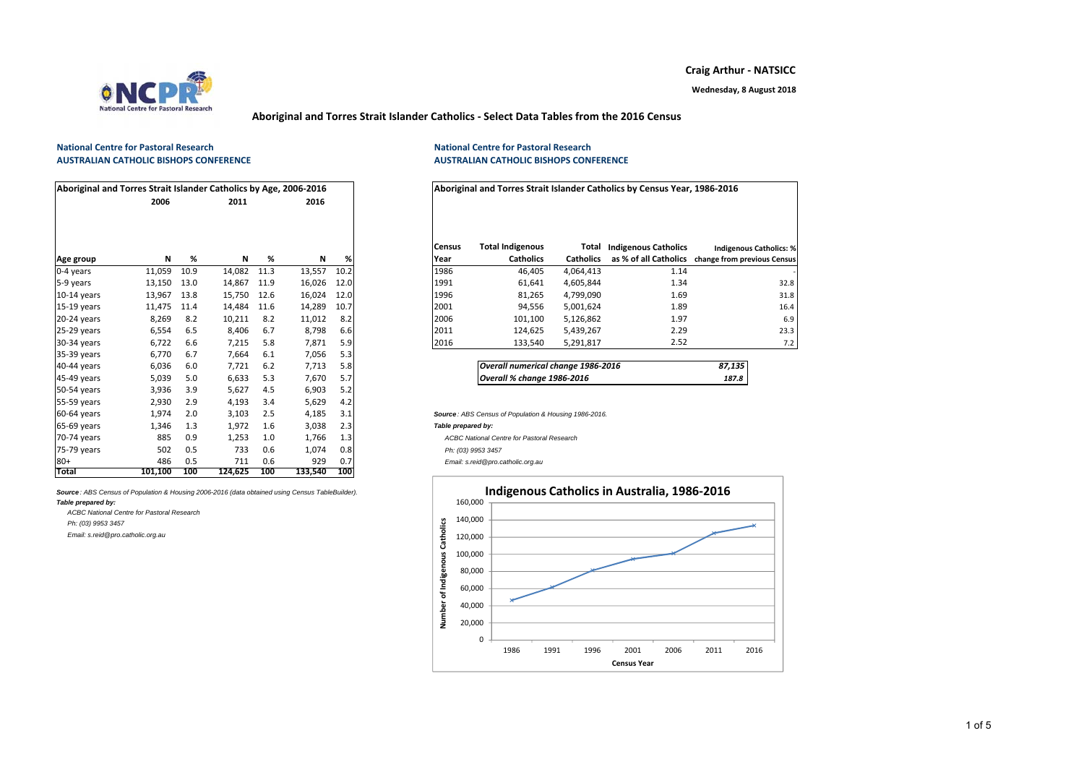

**Craig Arthur ‐ NATSICC**

### **Aboriginal and Torres Strait Islander Catholics ‐ Select Data Tables from the 2016 Census**

#### **National Centre for Pastoral ResearchAUSTRALIAN CATHOLIC BISHOPS CONFERENCE**

| Aboriginal and Torres Strait Islander Catholics by Age, 2006-2016 |         |      |         |      |         |      |                       |                                                       |                           | Aboriginal and Torres Strait Islander Catholics by Census Year, 1986-2016 |          |
|-------------------------------------------------------------------|---------|------|---------|------|---------|------|-----------------------|-------------------------------------------------------|---------------------------|---------------------------------------------------------------------------|----------|
|                                                                   | 2006    |      | 2011    |      | 2016    |      |                       |                                                       |                           |                                                                           |          |
| Age group                                                         | Ν       | %    | Ν       | %    | N       | %    | <b>Census</b><br>Year | <b>Total Indigenous</b><br><b>Catholics</b>           | Total<br><b>Catholics</b> | <b>Indigenous Catholics</b><br>as % of all Catholics change from p        | Indigeno |
| 0-4 years                                                         | 11,059  | 10.9 | 14,082  | 11.3 | 13,557  | 10.2 | 1986                  | 46,405                                                | 4,064,413                 | 1.14                                                                      |          |
| 5-9 years                                                         | 13,150  | 13.0 | 14,867  | 11.9 | 16,026  | 12.0 | 1991                  | 61,641                                                | 4,605,844                 | 1.34                                                                      |          |
| $10-14$ years                                                     | 13,967  | 13.8 | 15,750  | 12.6 | 16,024  | 12.0 | 1996                  | 81,265                                                | 4,799,090                 | 1.69                                                                      |          |
| $15-19$ years                                                     | 11,475  | 11.4 | 14,484  | 11.6 | 14,289  | 10.7 | 2001                  | 94,556                                                | 5,001,624                 | 1.89                                                                      |          |
| 20-24 years                                                       | 8,269   | 8.2  | 10,211  | 8.2  | 11,012  | 8.2  | 2006                  | 101,100                                               | 5,126,862                 | 1.97                                                                      |          |
| 25-29 years                                                       | 6,554   | 6.5  | 8,406   | 6.7  | 8,798   | 6.6  | 2011                  | 124,625                                               | 5,439,267                 | 2.29                                                                      |          |
| 30-34 years                                                       | 6,722   | 6.6  | 7,215   | 5.8  | 7,871   | 5.9  | 2016                  | 133,540                                               | 5,291,817                 | 2.52                                                                      |          |
| 35-39 years                                                       | 6,770   | 6.7  | 7,664   | 6.1  | 7,056   | 5.3  |                       |                                                       |                           |                                                                           |          |
| 40-44 years                                                       | 6,036   | 6.0  | 7,721   | 6.2  | 7,713   | 5.8  |                       | Overall numerical change 1986-2016                    |                           |                                                                           | 87,135   |
| 45-49 years                                                       | 5,039   | 5.0  | 6,633   | 5.3  | 7,670   | 5.7  |                       | Overall % change 1986-2016                            |                           |                                                                           | 187.8    |
| 50-54 years                                                       | 3,936   | 3.9  | 5,627   | 4.5  | 6,903   | 5.2  |                       |                                                       |                           |                                                                           |          |
| 55-59 years                                                       | 2,930   | 2.9  | 4,193   | 3.4  | 5,629   | 4.2  |                       |                                                       |                           |                                                                           |          |
| 60-64 years                                                       | 1,974   | 2.0  | 3,103   | 2.5  | 4,185   | 3.1  |                       | Source: ABS Census of Population & Housing 1986-2016. |                           |                                                                           |          |
| 65-69 years                                                       | 1,346   | 1.3  | 1,972   | 1.6  | 3,038   | 2.3  | Table prepared by:    |                                                       |                           |                                                                           |          |
| 70-74 years                                                       | 885     | 0.9  | 1,253   | 1.0  | 1,766   | 1.3  |                       | <b>ACBC National Centre for Pastoral Research</b>     |                           |                                                                           |          |
| 75-79 years                                                       | 502     | 0.5  | 733     | 0.6  | 1,074   | 0.8  | Ph: (03) 9953 3457    |                                                       |                           |                                                                           |          |
| $80+$                                                             | 486     | 0.5  | 711     | 0.6  | 929     | 0.7  |                       | Email: s.reid@pro.catholic.org.au                     |                           |                                                                           |          |
| <b>Total</b>                                                      | 101.100 | 100  | 124.625 | 100  | 133.540 | 100  |                       |                                                       |                           |                                                                           |          |

*Source : ABS Census of Population & Housing 2006-2016 (data obtained using Census TableBuilder).*

*Table prepared by:*

*Ph: (03) 9953 3457 Email: s.reid@pro.catholic.org.au*

*ACBC National Centre for Pastoral Research*

 **National Centre for Pastoral Research AUSTRALIAN CATHOLIC BISHOPS CONFERENCE**

| Aboriginal and Torres Strait Islander Catholics by Age, 2006-2016 |        |      |             |      |        |      |
|-------------------------------------------------------------------|--------|------|-------------|------|--------|------|
|                                                                   | 2006   |      | 2011        |      | 2016   |      |
|                                                                   |        |      |             |      |        |      |
| Age group                                                         | N      | %    | N           | %    | N      | %    |
| 0-4 years                                                         | 11,059 | 10.9 | 14,082 11.3 |      | 13,557 | 10.2 |
| 5-9 vears                                                         | 13,150 | 13.0 | 14.867      | 11.9 | 16,026 | 12.0 |
| 10-14 years                                                       | 13,967 | 13.8 | 15,750 12.6 |      | 16,024 | 12.0 |
| 15-19 vears                                                       | 11.475 | 11.4 | 14.484      | 11.6 | 14,289 | 10.7 |
| 20-24 years                                                       | 8,269  | 8.2  | 10,211      | 8.2  | 11,012 | 8.2  |
| 25-29 years                                                       | 6,554  | 6.5  | 8,406       | 6.7  | 8,798  | 6.6  |
| 30-34 years                                                       | 6,722  | 6.6  | 7,215       | 5.8  | 7,871  | 5.9  |
|                                                                   |        |      |             |      |        |      |

| Overall numerical change 1986-2016 | 87,135 |
|------------------------------------|--------|
| Overall % change 1986-2016         | 187.8  |

#### Fable prepared by:



1 of 5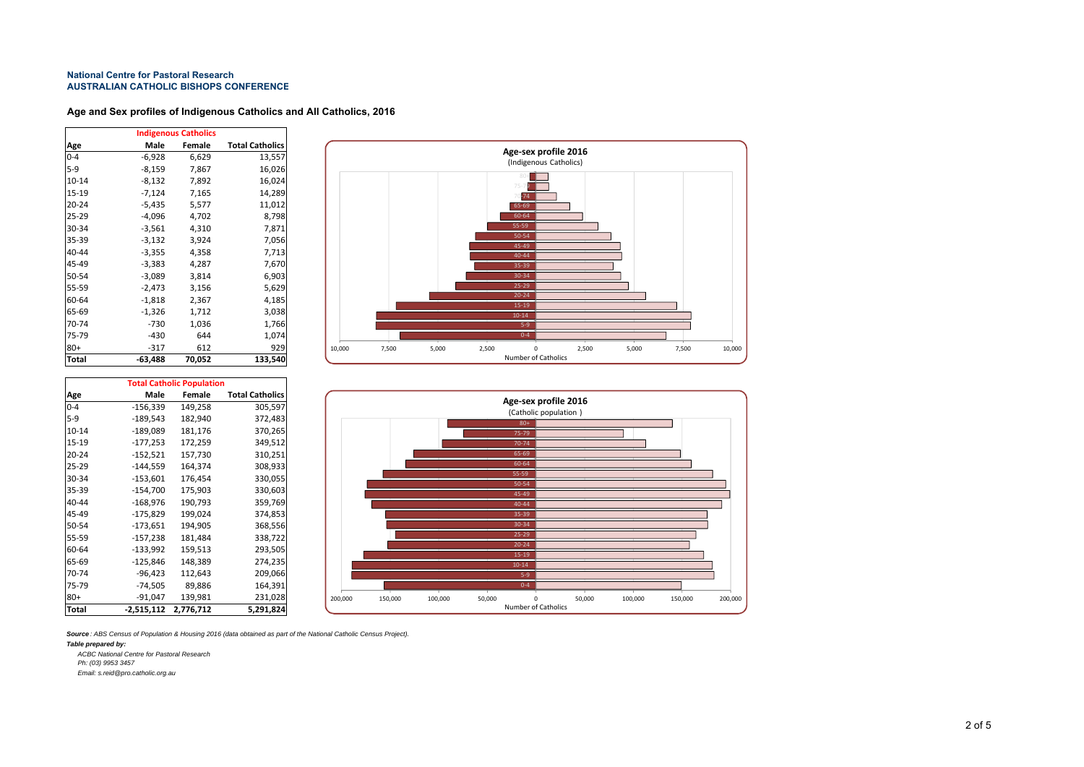### **Age and Sex profiles of Indigenous Catholics and All Catholics, 2016**

|           |           | <b>Indigenous Catholics</b> |                        |
|-----------|-----------|-----------------------------|------------------------|
| Age       | Male      | Female                      | <b>Total Catholics</b> |
| $0 - 4$   | -6,928    | 6,629                       | 13,557                 |
| $5-9$     | -8,159    | 7,867                       | 16,026                 |
| $10 - 14$ | -8,132    | 7,892                       | 16,024                 |
| 15-19     | -7,124    | 7,165                       | 14,289                 |
| $20 - 24$ | $-5,435$  | 5,577                       | 11,012                 |
| $25 - 29$ | $-4,096$  | 4,702                       | 8,798                  |
| 30-34     | $-3,561$  | 4,310                       | 7,871                  |
| 35-39     | $-3,132$  | 3,924                       | 7,056                  |
| 40-44     | $-3,355$  | 4,358                       | 7,713                  |
| 45-49     | $-3,383$  | 4,287                       | 7,670                  |
| 50-54     | $-3,089$  | 3,814                       | 6,903                  |
| 55-59     | $-2,473$  | 3,156                       | 5,629                  |
| 60-64     | $-1,818$  | 2,367                       | 4,185                  |
| 65-69     | $-1,326$  | 1,712                       | 3,038                  |
| 70-74     | -730      | 1,036                       | 1,766                  |
| 75-79     | $-430$    | 644                         | 1,074                  |
| $80+$     | -317      | 612                         | 929                    |
| Total     | $-63,488$ | 70,052                      | 133,540                |



|           | <b>Total Catholic Population</b> |           |                        |  |  |  |  |  |
|-----------|----------------------------------|-----------|------------------------|--|--|--|--|--|
| Age       | Male                             | Female    | <b>Total Catholics</b> |  |  |  |  |  |
| $0 - 4$   | $-156,339$                       | 149,258   | 305,597                |  |  |  |  |  |
| $5-9$     | $-189,543$                       | 182,940   | 372,483                |  |  |  |  |  |
| $10 - 14$ | $-189,089$                       | 181,176   | 370,265                |  |  |  |  |  |
| 15-19     | $-177,253$                       | 172,259   | 349,512                |  |  |  |  |  |
| $20 - 24$ | $-152,521$                       | 157,730   | 310,251                |  |  |  |  |  |
| $25 - 29$ | $-144,559$                       | 164,374   | 308,933                |  |  |  |  |  |
| 30-34     | $-153,601$                       | 176,454   | 330,055                |  |  |  |  |  |
| 35-39     | $-154,700$                       | 175,903   | 330,603                |  |  |  |  |  |
| 40-44     | $-168,976$                       | 190,793   | 359,769                |  |  |  |  |  |
| 45-49     | $-175,829$                       | 199,024   | 374,853                |  |  |  |  |  |
| 50-54     | $-173,651$                       | 194,905   | 368,556                |  |  |  |  |  |
| 55-59     | $-157,238$                       | 181,484   | 338,722                |  |  |  |  |  |
| 60-64     | $-133,992$                       | 159,513   | 293,505                |  |  |  |  |  |
| 65-69     | $-125,846$                       | 148,389   | 274,235                |  |  |  |  |  |
| 70-74     | $-96,423$                        | 112,643   | 209,066                |  |  |  |  |  |
| 75-79     | $-74,505$                        | 89,886    | 164,391                |  |  |  |  |  |
| $80+$     | -91,047                          | 139,981   | 231,028                |  |  |  |  |  |
| Total     | $-2,515,112$                     | 2,776,712 | 5,291,824              |  |  |  |  |  |



*Source : ABS Census of Population & Housing 2016 (data obtained as part of the National Catholic Census Project).*

*Table prepared by:*

*ACBC National Centre for Pastoral Research*

*Ph: (03) 9953 3457 Email: s.reid@pro.catholic.org.au*

2 of 5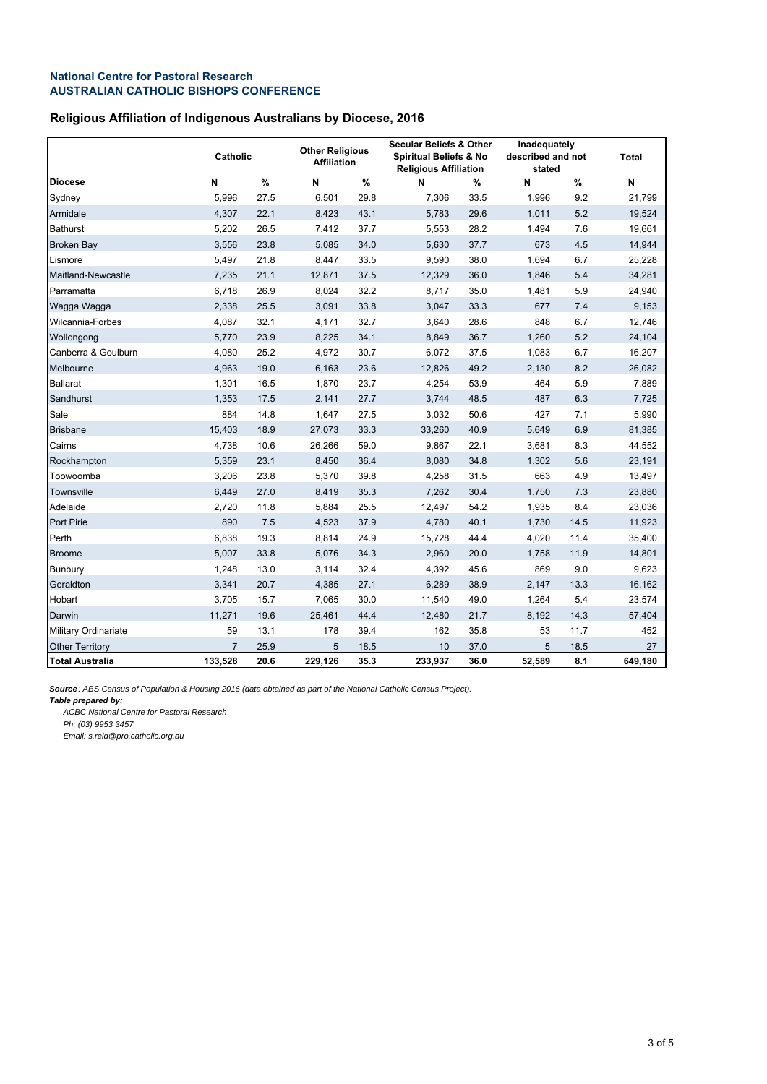# **Religious Affiliation of Indigenous Australians by Diocese, 2016**

|                        | Catholic       |      |         | <b>Other Religious</b><br><b>Affiliation</b> |         | <b>Secular Beliefs &amp; Other</b><br><b>Spiritual Beliefs &amp; No</b><br><b>Religious Affiliation</b> |        | Inadequately<br>described and not<br>stated |         |
|------------------------|----------------|------|---------|----------------------------------------------|---------|---------------------------------------------------------------------------------------------------------|--------|---------------------------------------------|---------|
| <b>Diocese</b>         | N              | $\%$ | N       | %                                            | N       | %                                                                                                       | N      | %                                           | N       |
| Sydney                 | 5,996          | 27.5 | 6,501   | 29.8                                         | 7,306   | 33.5                                                                                                    | 1,996  | 9.2                                         | 21,799  |
| Armidale               | 4,307          | 22.1 | 8,423   | 43.1                                         | 5,783   | 29.6                                                                                                    | 1,011  | 5.2                                         | 19,524  |
| <b>Bathurst</b>        | 5,202          | 26.5 | 7,412   | 37.7                                         | 5,553   | 28.2                                                                                                    | 1,494  | 7.6                                         | 19,661  |
| <b>Broken Bay</b>      | 3,556          | 23.8 | 5,085   | 34.0                                         | 5,630   | 37.7                                                                                                    | 673    | 4.5                                         | 14,944  |
| Lismore                | 5,497          | 21.8 | 8,447   | 33.5                                         | 9,590   | 38.0                                                                                                    | 1,694  | 6.7                                         | 25,228  |
| Maitland-Newcastle     | 7,235          | 21.1 | 12,871  | 37.5                                         | 12,329  | 36.0                                                                                                    | 1,846  | 5.4                                         | 34,281  |
| Parramatta             | 6,718          | 26.9 | 8,024   | 32.2                                         | 8,717   | 35.0                                                                                                    | 1,481  | 5.9                                         | 24,940  |
| Wagga Wagga            | 2,338          | 25.5 | 3,091   | 33.8                                         | 3,047   | 33.3                                                                                                    | 677    | 7.4                                         | 9,153   |
| Wilcannia-Forbes       | 4,087          | 32.1 | 4,171   | 32.7                                         | 3,640   | 28.6                                                                                                    | 848    | 6.7                                         | 12,746  |
| Wollongong             | 5,770          | 23.9 | 8,225   | 34.1                                         | 8,849   | 36.7                                                                                                    | 1,260  | 5.2                                         | 24,104  |
| Canberra & Goulburn    | 4,080          | 25.2 | 4,972   | 30.7                                         | 6,072   | 37.5                                                                                                    | 1,083  | 6.7                                         | 16,207  |
| Melbourne              | 4,963          | 19.0 | 6,163   | 23.6                                         | 12,826  | 49.2                                                                                                    | 2,130  | 8.2                                         | 26,082  |
| <b>Ballarat</b>        | 1,301          | 16.5 | 1,870   | 23.7                                         | 4,254   | 53.9                                                                                                    | 464    | 5.9                                         | 7,889   |
| Sandhurst              | 1,353          | 17.5 | 2,141   | 27.7                                         | 3,744   | 48.5                                                                                                    | 487    | 6.3                                         | 7,725   |
| Sale                   | 884            | 14.8 | 1,647   | 27.5                                         | 3,032   | 50.6                                                                                                    | 427    | 7.1                                         | 5,990   |
| <b>Brisbane</b>        | 15,403         | 18.9 | 27,073  | 33.3                                         | 33,260  | 40.9                                                                                                    | 5,649  | 6.9                                         | 81,385  |
| Cairns                 | 4,738          | 10.6 | 26,266  | 59.0                                         | 9,867   | 22.1                                                                                                    | 3,681  | 8.3                                         | 44,552  |
| Rockhampton            | 5,359          | 23.1 | 8,450   | 36.4                                         | 8,080   | 34.8                                                                                                    | 1,302  | 5.6                                         | 23,191  |
| Toowoomba              | 3,206          | 23.8 | 5,370   | 39.8                                         | 4,258   | 31.5                                                                                                    | 663    | 4.9                                         | 13,497  |
| Townsville             | 6,449          | 27.0 | 8,419   | 35.3                                         | 7,262   | 30.4                                                                                                    | 1,750  | 7.3                                         | 23,880  |
| Adelaide               | 2,720          | 11.8 | 5,884   | 25.5                                         | 12,497  | 54.2                                                                                                    | 1,935  | 8.4                                         | 23,036  |
| Port Pirie             | 890            | 7.5  | 4,523   | 37.9                                         | 4,780   | 40.1                                                                                                    | 1,730  | 14.5                                        | 11,923  |
| Perth                  | 6,838          | 19.3 | 8,814   | 24.9                                         | 15,728  | 44.4                                                                                                    | 4,020  | 11.4                                        | 35,400  |
| <b>Broome</b>          | 5,007          | 33.8 | 5,076   | 34.3                                         | 2,960   | 20.0                                                                                                    | 1,758  | 11.9                                        | 14,801  |
| Bunbury                | 1,248          | 13.0 | 3,114   | 32.4                                         | 4,392   | 45.6                                                                                                    | 869    | 9.0                                         | 9,623   |
| Geraldton              | 3,341          | 20.7 | 4,385   | 27.1                                         | 6,289   | 38.9                                                                                                    | 2,147  | 13.3                                        | 16,162  |
| Hobart                 | 3,705          | 15.7 | 7,065   | 30.0                                         | 11,540  | 49.0                                                                                                    | 1,264  | 5.4                                         | 23,574  |
| Darwin                 | 11,271         | 19.6 | 25,461  | 44.4                                         | 12,480  | 21.7                                                                                                    | 8,192  | 14.3                                        | 57,404  |
| Military Ordinariate   | 59             | 13.1 | 178     | 39.4                                         | 162     | 35.8                                                                                                    | 53     | 11.7                                        | 452     |
| <b>Other Territory</b> | $\overline{7}$ | 25.9 | 5       | 18.5                                         | 10      | 37.0                                                                                                    | 5      | 18.5                                        | 27      |
| <b>Total Australia</b> | 133,528        | 20.6 | 229,126 | 35.3                                         | 233,937 | 36.0                                                                                                    | 52,589 | 8.1                                         | 649,180 |

*Source: ABS Census of Population & Housing 2016 (data obtained as part of the National Catholic Census Project).*

*Table prepared by:*

*ACBC National Centre for Pastoral Research*

*Ph: (03) 9953 3457*

*Email: s.reid@pro.catholic.org.au*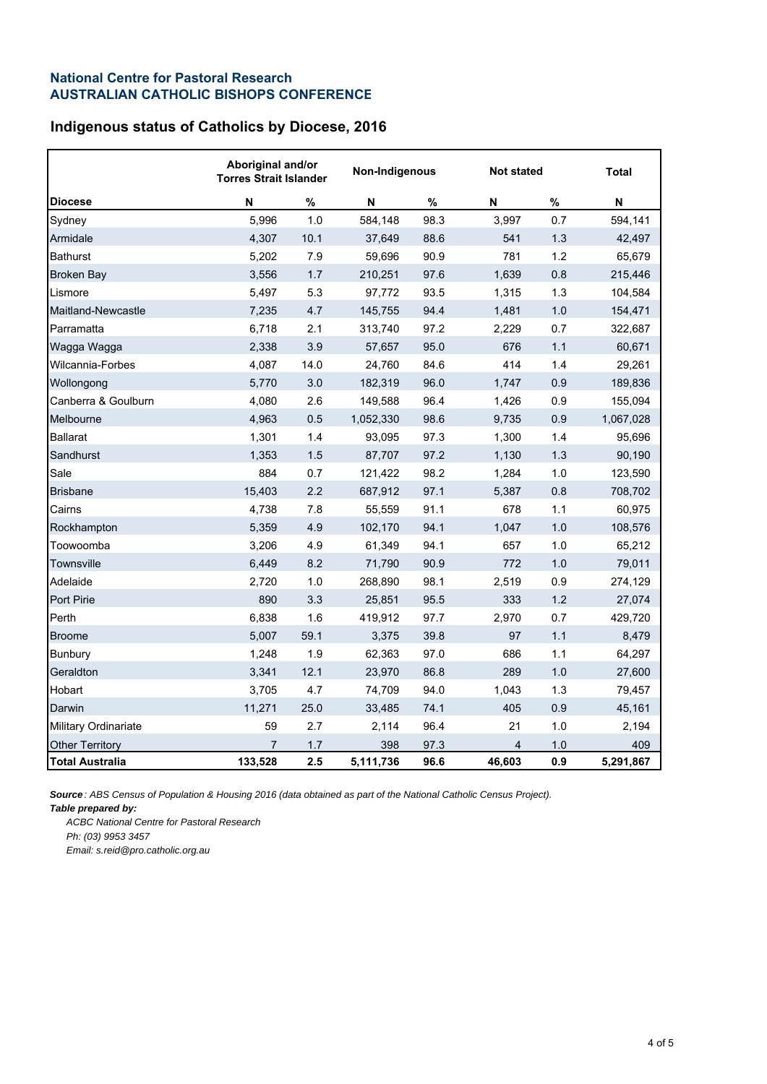# **Indigenous status of Catholics by Diocese, 2016**

|                             | Aboriginal and/or<br><b>Torres Strait Islander</b> |      | Non-Indigenous |      |                | <b>Not stated</b> |           |  |
|-----------------------------|----------------------------------------------------|------|----------------|------|----------------|-------------------|-----------|--|
| <b>Diocese</b>              | N                                                  | %    | N              | $\%$ | N              | $\%$              | N         |  |
| Sydney                      | 5,996                                              | 1.0  | 584,148        | 98.3 | 3,997          | 0.7               | 594,141   |  |
| Armidale                    | 4,307                                              | 10.1 | 37,649         | 88.6 | 541            | 1.3               | 42,497    |  |
| <b>Bathurst</b>             | 5,202                                              | 7.9  | 59,696         | 90.9 | 781            | 1.2               | 65,679    |  |
| <b>Broken Bay</b>           | 3,556                                              | 1.7  | 210,251        | 97.6 | 1,639          | 0.8               | 215,446   |  |
| Lismore                     | 5,497                                              | 5.3  | 97,772         | 93.5 | 1,315          | 1.3               | 104,584   |  |
| Maitland-Newcastle          | 7,235                                              | 4.7  | 145,755        | 94.4 | 1,481          | 1.0               | 154,471   |  |
| Parramatta                  | 6,718                                              | 2.1  | 313,740        | 97.2 | 2,229          | 0.7               | 322,687   |  |
| Wagga Wagga                 | 2,338                                              | 3.9  | 57,657         | 95.0 | 676            | 1.1               | 60,671    |  |
| Wilcannia-Forbes            | 4,087                                              | 14.0 | 24,760         | 84.6 | 414            | 1.4               | 29,261    |  |
| Wollongong                  | 5,770                                              | 3.0  | 182,319        | 96.0 | 1,747          | 0.9               | 189,836   |  |
| Canberra & Goulburn         | 4,080                                              | 2.6  | 149,588        | 96.4 | 1,426          | 0.9               | 155,094   |  |
| Melbourne                   | 4,963                                              | 0.5  | 1,052,330      | 98.6 | 9,735          | 0.9               | 1,067,028 |  |
| <b>Ballarat</b>             | 1,301                                              | 1.4  | 93,095         | 97.3 | 1,300          | 1.4               | 95,696    |  |
| Sandhurst                   | 1,353                                              | 1.5  | 87,707         | 97.2 | 1,130          | 1.3               | 90,190    |  |
| Sale                        | 884                                                | 0.7  | 121,422        | 98.2 | 1,284          | 1.0               | 123,590   |  |
| <b>Brisbane</b>             | 15,403                                             | 2.2  | 687,912        | 97.1 | 5,387          | 0.8               | 708,702   |  |
| Cairns                      | 4,738                                              | 7.8  | 55,559         | 91.1 | 678            | 1.1               | 60,975    |  |
| Rockhampton                 | 5,359                                              | 4.9  | 102,170        | 94.1 | 1,047          | 1.0               | 108,576   |  |
| Toowoomba                   | 3,206                                              | 4.9  | 61,349         | 94.1 | 657            | 1.0               | 65,212    |  |
| Townsville                  | 6,449                                              | 8.2  | 71,790         | 90.9 | 772            | 1.0               | 79,011    |  |
| Adelaide                    | 2,720                                              | 1.0  | 268,890        | 98.1 | 2,519          | 0.9               | 274,129   |  |
| <b>Port Pirie</b>           | 890                                                | 3.3  | 25,851         | 95.5 | 333            | 1.2               | 27,074    |  |
| Perth                       | 6,838                                              | 1.6  | 419,912        | 97.7 | 2,970          | 0.7               | 429,720   |  |
| <b>Broome</b>               | 5,007                                              | 59.1 | 3,375          | 39.8 | 97             | 1.1               | 8,479     |  |
| <b>Bunbury</b>              | 1,248                                              | 1.9  | 62,363         | 97.0 | 686            | 1.1               | 64,297    |  |
| Geraldton                   | 3,341                                              | 12.1 | 23,970         | 86.8 | 289            | 1.0               | 27,600    |  |
| Hobart                      | 3,705                                              | 4.7  | 74,709         | 94.0 | 1,043          | 1.3               | 79,457    |  |
| Darwin                      | 11,271                                             | 25.0 | 33,485         | 74.1 | 405            | 0.9               | 45,161    |  |
| <b>Military Ordinariate</b> | 59                                                 | 2.7  | 2,114          | 96.4 | 21             | 1.0               | 2,194     |  |
| <b>Other Territory</b>      | $\overline{7}$                                     | 1.7  | 398            | 97.3 | $\overline{4}$ | 1.0               | 409       |  |
| <b>Total Australia</b>      | 133,528                                            | 2.5  | 5,111,736      | 96.6 | 46,603         | 0.9               | 5,291,867 |  |

*Source : ABS Census of Population & Housing 2016 (data obtained as part of the National Catholic Census Project).*

*Table prepared by:*

*ACBC National Centre for Pastoral Research Ph: (03) 9953 3457 Email: s.reid@pro.catholic.org.au*